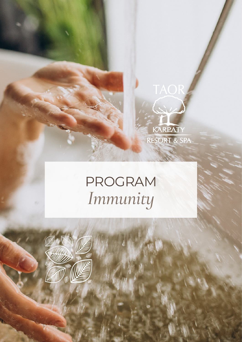

## PROGRAM *Immunity*